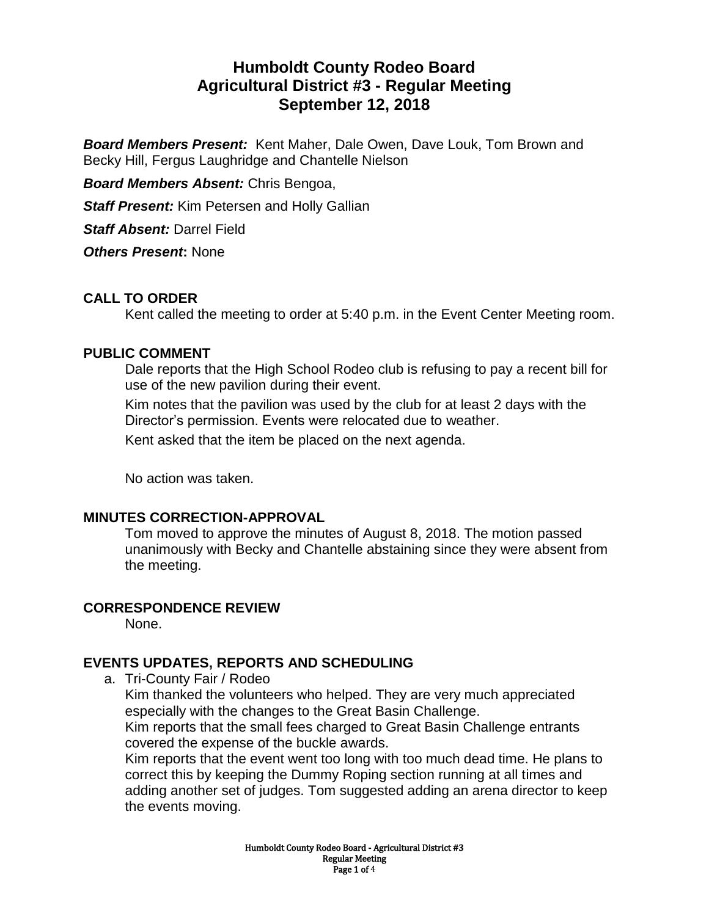# **Humboldt County Rodeo Board Agricultural District #3 - Regular Meeting September 12, 2018**

*Board Members Present:* Kent Maher, Dale Owen, Dave Louk, Tom Brown and Becky Hill, Fergus Laughridge and Chantelle Nielson

*Board Members Absent:* Chris Bengoa,

*Staff Present:* Kim Petersen and Holly Gallian

*Staff Absent:* Darrel Field

*Others Present***:** None

# **CALL TO ORDER**

Kent called the meeting to order at 5:40 p.m. in the Event Center Meeting room.

### **PUBLIC COMMENT**

Dale reports that the High School Rodeo club is refusing to pay a recent bill for use of the new pavilion during their event.

Kim notes that the pavilion was used by the club for at least 2 days with the Director's permission. Events were relocated due to weather.

Kent asked that the item be placed on the next agenda.

No action was taken.

#### **MINUTES CORRECTION-APPROVAL**

Tom moved to approve the minutes of August 8, 2018. The motion passed unanimously with Becky and Chantelle abstaining since they were absent from the meeting.

#### **CORRESPONDENCE REVIEW**

None.

# **EVENTS UPDATES, REPORTS AND SCHEDULING**

a. Tri-County Fair / Rodeo

Kim thanked the volunteers who helped. They are very much appreciated especially with the changes to the Great Basin Challenge.

Kim reports that the small fees charged to Great Basin Challenge entrants covered the expense of the buckle awards.

Kim reports that the event went too long with too much dead time. He plans to correct this by keeping the Dummy Roping section running at all times and adding another set of judges. Tom suggested adding an arena director to keep the events moving.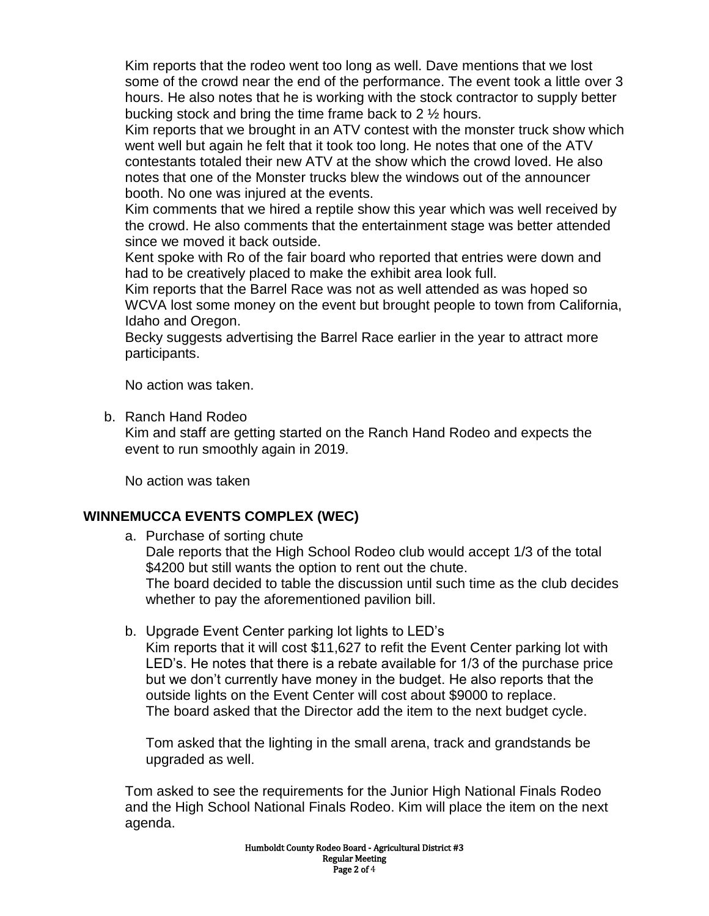Kim reports that the rodeo went too long as well. Dave mentions that we lost some of the crowd near the end of the performance. The event took a little over 3 hours. He also notes that he is working with the stock contractor to supply better bucking stock and bring the time frame back to 2 ½ hours.

Kim reports that we brought in an ATV contest with the monster truck show which went well but again he felt that it took too long. He notes that one of the ATV contestants totaled their new ATV at the show which the crowd loved. He also notes that one of the Monster trucks blew the windows out of the announcer booth. No one was injured at the events.

Kim comments that we hired a reptile show this year which was well received by the crowd. He also comments that the entertainment stage was better attended since we moved it back outside.

Kent spoke with Ro of the fair board who reported that entries were down and had to be creatively placed to make the exhibit area look full.

Kim reports that the Barrel Race was not as well attended as was hoped so WCVA lost some money on the event but brought people to town from California, Idaho and Oregon.

Becky suggests advertising the Barrel Race earlier in the year to attract more participants.

No action was taken.

b. Ranch Hand Rodeo

Kim and staff are getting started on the Ranch Hand Rodeo and expects the event to run smoothly again in 2019.

No action was taken

# **WINNEMUCCA EVENTS COMPLEX (WEC)**

a. Purchase of sorting chute

Dale reports that the High School Rodeo club would accept 1/3 of the total \$4200 but still wants the option to rent out the chute. The board decided to table the discussion until such time as the club decides

whether to pay the aforementioned pavilion bill.

b. Upgrade Event Center parking lot lights to LED's

Kim reports that it will cost \$11,627 to refit the Event Center parking lot with LED's. He notes that there is a rebate available for 1/3 of the purchase price but we don't currently have money in the budget. He also reports that the outside lights on the Event Center will cost about \$9000 to replace. The board asked that the Director add the item to the next budget cycle.

Tom asked that the lighting in the small arena, track and grandstands be upgraded as well.

Tom asked to see the requirements for the Junior High National Finals Rodeo and the High School National Finals Rodeo. Kim will place the item on the next agenda.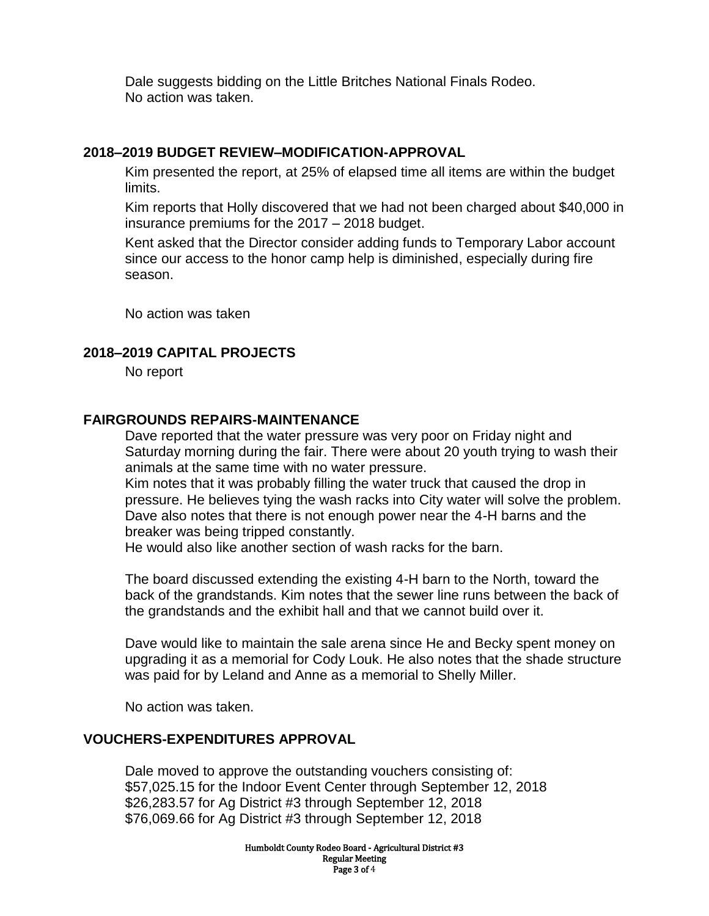Dale suggests bidding on the Little Britches National Finals Rodeo. No action was taken.

### **2018–2019 BUDGET REVIEW–MODIFICATION-APPROVAL**

Kim presented the report, at 25% of elapsed time all items are within the budget limits.

Kim reports that Holly discovered that we had not been charged about \$40,000 in insurance premiums for the 2017 – 2018 budget.

Kent asked that the Director consider adding funds to Temporary Labor account since our access to the honor camp help is diminished, especially during fire season.

No action was taken

#### **2018–2019 CAPITAL PROJECTS**

No report

#### **FAIRGROUNDS REPAIRS-MAINTENANCE**

Dave reported that the water pressure was very poor on Friday night and Saturday morning during the fair. There were about 20 youth trying to wash their animals at the same time with no water pressure.

Kim notes that it was probably filling the water truck that caused the drop in pressure. He believes tying the wash racks into City water will solve the problem. Dave also notes that there is not enough power near the 4-H barns and the breaker was being tripped constantly.

He would also like another section of wash racks for the barn.

The board discussed extending the existing 4-H barn to the North, toward the back of the grandstands. Kim notes that the sewer line runs between the back of the grandstands and the exhibit hall and that we cannot build over it.

Dave would like to maintain the sale arena since He and Becky spent money on upgrading it as a memorial for Cody Louk. He also notes that the shade structure was paid for by Leland and Anne as a memorial to Shelly Miller.

No action was taken.

#### **VOUCHERS-EXPENDITURES APPROVAL**

Dale moved to approve the outstanding vouchers consisting of: \$57,025.15 for the Indoor Event Center through September 12, 2018 \$26,283.57 for Ag District #3 through September 12, 2018 \$76,069.66 for Ag District #3 through September 12, 2018

> Humboldt County Rodeo Board - Agricultural District #3 Regular Meeting Page 3 of 4